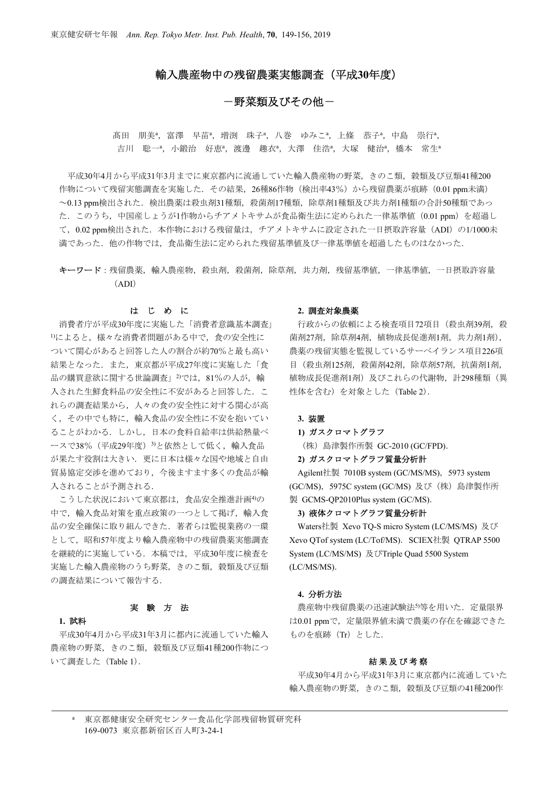# 輸入農産物中の残留農薬実態調査(平成**30**年度)

# 一野菜類及びその他ー

髙田 朋美<sup>a</sup>, 富澤 早苗<sup>a</sup>, 増渕 珠子<sup>a</sup>, 八巻 ゆみこ<sup>a</sup>, 上條 恭子<sup>a</sup>, 中島 崇行<sup>a</sup>, 吉川 聡一<sup>a</sup>,小鍛治 好恵<sup>a</sup>,渡邊 趣衣<sup>a</sup>,大澤 佳浩<sup>a</sup>,大塚 健治<sup>a</sup>,橋本 常生<sup>。</sup>

平成30年4月から平成31年3月までに東京都内に流通していた輸入農産物の野菜,きのこ類,穀類及び豆類41種200 作物について残留実態調査を実施した. その結果, 26種86作物 (検出率43%) から残留農薬が痕跡 (0.01 ppm未満) ~0.13 ppm検出された.検出農薬は殺虫剤31種類,殺菌剤17種類,除草剤1種類及び共力剤1種類の合計50種類であっ た.このうち,中国産しょうが1作物からチアメトキサムが食品衛生法に定められた一律基準値(0.01 ppm)を超過し て, 0.02 ppm検出された. 本作物における残留量は, チアメトキサムに設定された一日摂取許容量(ADI)の1/1000未 満であった.他の作物では,食品衛生法に定められた残留基準値及び一律基準値を超過したものはなかった.

キーワード:残留農薬,輸入農産物,殺虫剤,殺菌剤,除草剤,共力剤,残留基準値,一律基準値,一日摂取許容量 (ADI)

### はじめに

消費者庁が平成30年度に実施した「消費者意識基本調査」 1)によると,様々な消費者問題がある中で,食の安全性に ついて関心があると回答した人の割合が約70%と最も高い 結果となった.また,東京都が平成27年度に実施した「食 品の購買意欲に関する世論調査」<sup>2)</sup>では、81%の人が、輸 入された生鮮食料品の安全性に不安があると回答した.こ れらの調査結果から,人々の食の安全性に対する関心が高 く,その中でも特に,輸入食品の安全性に不安を抱いてい ることがわかる.しかし,日本の食料自給率は供給熱量ベ ースで38% (平成29年度) 3)と依然として低く、輸入食品 が果たす役割は大きい.更に日本は様々な国や地域と自由 貿易協定交渉を進めており,今後ますます多くの食品が輸 入されることが予測される.

こうした状況において東京都は、食品安全推進計画4)の 中で、輸入食品対策を重点政策の一つとして掲げ、輸入食 品の安全確保に取り組んできた.著者らは監視業務の一環 として,昭和57年度より輸入農産物中の残留農薬実態調査 を継続的に実施している.本稿では,平成30年度に検査を 実施した輸入農産物のうち野菜,きのこ類,穀類及び豆類 の調査結果について報告する.

### 実験方法

### **1.** 試料

平成30年4月から平成31年3月に都内に流通していた輸入 農産物の野菜,きのこ類,穀類及び豆類41種200作物につ いて調査した (Table 1).

#### **2.** 調査対象農薬

行政からの依頼による検査項目72項目 (殺虫剤39剤, 殺 菌剤27剤,除草剤4剤,植物成長促進剤1剤,共力剤1剤), 農薬の残留実態を監視しているサーベイランス項目226項 目 (殺虫剤125剤, 殺菌剤42剤, 除草剤57剤, 抗菌剤1剤, 植物成長促進剤1剤)及びこれらの代謝物,計298種類(異 性体を含む)を対象とした (Table 2).

#### **3.** 装置

#### **1)** ガスクロマトグラフ

(株)島津製作所製 GC-2010 (GC/FPD).

**2)** ガスクロマトグラフ質量分析計

Agilent社製 7010B system (GC/MS/MS), 5973 system (GC/MS),5975C system (GC/MS) 及び(株)島津製作所 製 GCMS-OP2010Plus system (GC/MS).

### **3)** 液体クロマトグラフ質量分析計

Waters社製 Xevo TQ-S micro System (LC/MS/MS) 及び Xevo QTof system (LC/Tof/MS). SCIEX社製 QTRAP 5500 System (LC/MS/MS) 及びTriple Quad 5500 System (LC/MS/MS).

### **4.** 分析方法

農産物中残留農薬の迅速試験法5)等を用いた. 定量限界 は0.01 ppmで、定量限界値未満で農薬の存在を確認できた ものを痕跡 (Tr) とした.

### 結果及び考察

 平成30年4月から平成31年3月に東京都内に流通していた 輸入農産物の野菜,きのこ類,穀類及び豆類の41種200作

<sup>a</sup>東京都健康安全研究センター食品化学部残留物質研究科 169-0073 東京都新宿区百人町3-24-1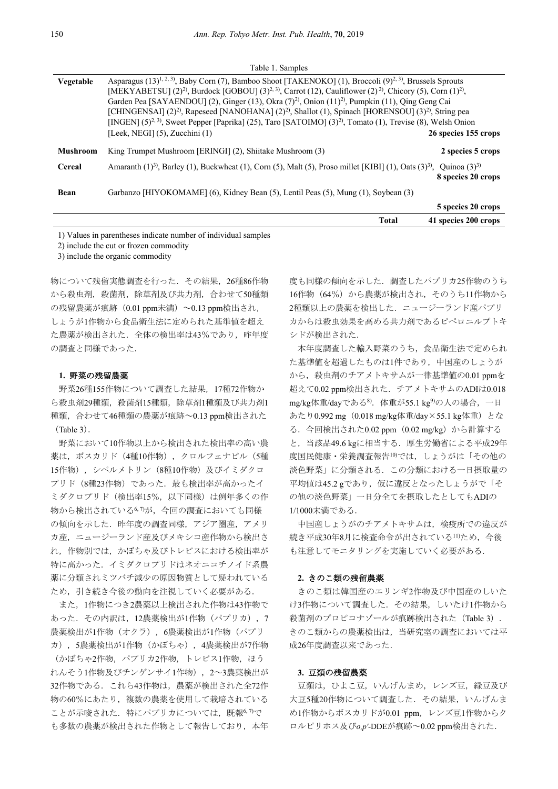| Vegetable | Asparagus $(13)^{1,2,3}$ , Baby Corn (7), Bamboo Shoot [TAKENOKO] (1), Broccoli (9) <sup>2, 3)</sup> , Brussels Sprouts<br>[MEKYABETSU] (2) <sup>2)</sup> , Burdock [GOBOU] (3) <sup>2, 3)</sup> , Carrot (12), Cauliflower (2) <sup>2)</sup> , Chicory (5), Corn (1) <sup>2</sup> ),<br>Garden Pea [SAYAENDOU] (2), Ginger (13), Okra (7) <sup>2)</sup> , Onion (11) <sup>2)</sup> , Pumpkin (11), Qing Geng Cai<br>[CHINGENSAI] $(2)^2$ , Rapeseed [NANOHANA] $(2)^2$ , Shallot $(1)$ , Spinach [HORENSOU] $(3)^2$ , String pea<br>[INGEN] $(5)^{2.3}$ , Sweet Pepper [Paprika] (25), Taro [SATOIMO] $(3)^{2}$ , Tomato (1), Trevise (8), Welsh Onion |                      |  |  |  |  |  |
|-----------|---------------------------------------------------------------------------------------------------------------------------------------------------------------------------------------------------------------------------------------------------------------------------------------------------------------------------------------------------------------------------------------------------------------------------------------------------------------------------------------------------------------------------------------------------------------------------------------------------------------------------------------------------------|----------------------|--|--|--|--|--|
|           | [Leek, NEGI] $(5)$ , Zucchini $(1)$                                                                                                                                                                                                                                                                                                                                                                                                                                                                                                                                                                                                                     | 26 species 155 crops |  |  |  |  |  |
| Mushroom  | King Trumpet Mushroom [ERINGI] (2), Shiitake Mushroom (3)                                                                                                                                                                                                                                                                                                                                                                                                                                                                                                                                                                                               | 2 species 5 crops    |  |  |  |  |  |
| Cereal    | Amaranth $(1)^3$ , Barley $(1)$ , Buckwheat $(1)$ , Corn $(5)$ , Malt $(5)$ , Proso millet [KIBI] $(1)$ , Oats $(3)^3$ , Quinoa $(3)^3$                                                                                                                                                                                                                                                                                                                                                                                                                                                                                                                 | 8 species 20 crops   |  |  |  |  |  |
| Bean      | Garbanzo [HIYOKOMAME] (6), Kidney Bean (5), Lentil Peas (5), Mung (1), Soybean (3)                                                                                                                                                                                                                                                                                                                                                                                                                                                                                                                                                                      |                      |  |  |  |  |  |
|           |                                                                                                                                                                                                                                                                                                                                                                                                                                                                                                                                                                                                                                                         | 5 species 20 crops   |  |  |  |  |  |

Table 1. Samples

1) Values in parentheses indicate number of individual samples

2) include the cut or frozen commodity

3) include the organic commodity

物について残留実態調査を行った.その結果,26種86作物 から殺虫剤,殺菌剤,除草剤及び共力剤,合わせて50種類 の残留農薬が痕跡(0.01 ppm未満)~0.13 ppm検出され, しょうが1作物から食品衛生法に定められた基準値を超え た農薬が検出された. 全体の検出率は43%であり、昨年度 の調査と同様であった.

### **1.** 野菜の残留農薬

野菜26種155作物について調査した結果,17種72作物か ら殺虫剤29種類,殺菌剤15種類,除草剤1種類及び共力剤1 種類,合わせて46種類の農薬が痕跡~0.13 ppm検出された (Table 3).

 野菜において10作物以上から検出された検出率の高い農 薬は、ボスカリド (4種10作物),クロルフェナピル (5種 15作物),シペルメトリン(8種10作物)及びイミダクロ プリド(8種23作物)であった.最も検出率が高かったイ ミダクロプリド(検出率15%,以下同様)は例年多くの作 物から検出されている6,7が、今回の調査においても同様 の傾向を示した. 昨年度の調査同様, アジア圏産, アメリ カ産、ニュージーランド産及びメキシコ産作物から検出さ れ,作物別では,かぼちゃ及びトレビスにおける検出率が 特に高かった.イミダクロプリドはネオニコチノイド系農 薬に分類されミツバチ減少の原因物質として疑われている ため,引き続き今後の動向を注視していく必要がある.

 また,1作物につき2農薬以上検出された作物は43作物で あった.その内訳は,12農薬検出が1作物(パプリカ),7 農薬検出が1作物(オクラ), 6農薬検出が1作物(パプリ カ),5農薬検出が1作物(かぼちゃ),4農薬検出が7作物 (かぼちゃ2作物,パプリカ2作物,トレビス1作物,ほう れんそう1作物及びチンゲンサイ1作物),2~3農薬検出が 32作物である. これら43作物は、農薬が検出された全72作 物の60%にあたり,複数の農薬を使用して栽培されている ことが示唆された. 特にパプリカについては、既報6,7で も多数の農薬が検出された作物として報告しており、本年

度も同様の傾向を示した.調査したパプリカ25作物のうち 16作物(64%)から農薬が検出され、そのうち11作物から 2種類以上の農薬を検出した. ニュージーランド産パプリ カからは殺虫効果を高める共力剤であるピペロニルブトキ シドが検出された.

**Total 41 species 200 crops** 

 本年度調査した輸入野菜のうち,食品衛生法で定められ た基準値を超過したものは1件であり,中国産のしょうが から、殺虫剤のチアメトキサムが一律基準値の0.01 ppmを 超えて0.02 ppm検出された. チアメトキサムのADIは0.018 mg/kg体重/dayである8).体重が55.1 kg9)の人の場合,一日 あたり0.992 mg(0.018 mg/kg体重/day×55.1 kg体重)とな る.今回検出された0.02 ppm(0.02 mg/kg)から計算する と, 当該品49.6 kgに相当する. 厚生労働省による平成29年 度国民健康・栄養調査報告10)では、しょうがは「その他の 淡色野菜」に分類される.この分類における一日摂取量の 平均値は45.2 gであり,仮に違反となったしょうがで「そ の他の淡色野菜」一日分全てを摂取したとしてもADIの 1/1000未満である.

中国産しょうがのチアメトキサムは,検疫所での違反が 続き平成30年8月に検査命令が出されている11)ため、今後 も注意してモニタリングを実施していく必要がある.

#### **2.** きのこ類の残留農薬

きのこ類は韓国産のエリンギ2作物及び中国産のしいた け3作物について調査した.その結果,しいたけ1作物から 殺菌剤のプロピコナゾールが痕跡検出された (Table 3). きのこ類からの農薬検出は,当研究室の調査においては平 成26年度調査以来であった.

#### **3.** 豆類の残留農薬

豆類は、ひよこ豆,いんげんまめ、レンズ豆,緑豆及び 大豆5種20作物について調査した.その結果,いんげんま め1作物からボスカリドが0.01 ppm, レンズ豆1作物からク ロルピリホス及び*o,p'*-DDEが痕跡~0.02 ppm検出された.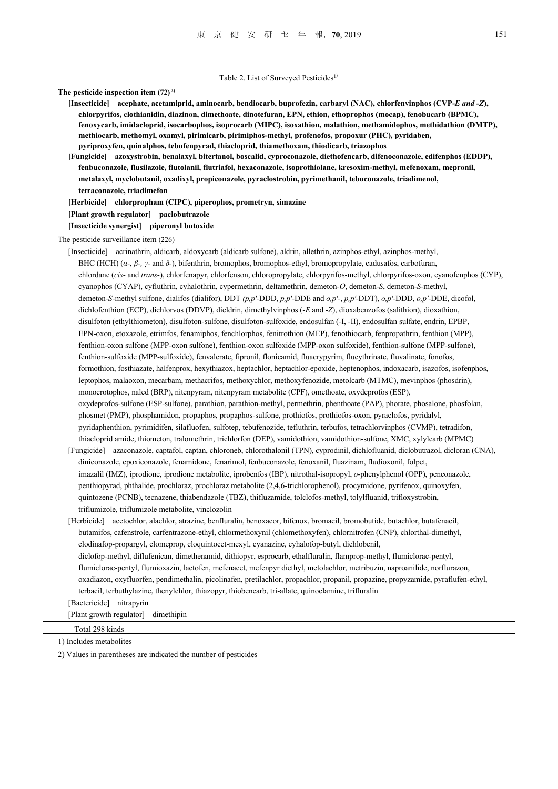**The pesticide inspection item (72) 2) [Insecticide] acephate, acetamiprid, aminocarb, bendiocarb, buprofezin, carbaryl (NAC), chlorfenvinphos (CVP-***E and -Z***), chlorpyrifos, clothianidin, diazinon, dimethoate, dinotefuran, EPN, ethion, ethoprophos (mocap), fenobucarb (BPMC), fenoxycarb, imidacloprid, isocarbophos, isoprocarb (MIPC), isoxathion, malathion, methamidophos, methidathion (DMTP), methiocarb, methomyl, oxamyl, pirimicarb, pirimiphos-methyl, profenofos, propoxur (PHC), pyridaben, pyriproxyfen, quinalphos, tebufenpyrad, thiacloprid, thiamethoxam, thiodicarb, triazophos [Fungicide] azoxystrobin, benalaxyl, bitertanol, boscalid, cyproconazole, diethofencarb, difenoconazole, edifenphos (EDDP), fenbuconazole, flusilazole, flutolanil, flutriafol, hexaconazole, isoprothiolane, kresoxim-methyl, mefenoxam, mepronil, metalaxyl, myclobutanil, oxadixyl, propiconazole, pyraclostrobin, pyrimethanil, tebuconazole, triadimenol, tetraconazole, triadimefon [Herbicide] chlorpropham (CIPC), piperophos, prometryn, simazine [Plant growth regulator] paclobutrazole [Insecticide synergist] piperonyl butoxide**  The pesticide surveillance item (226) [Insecticide] acrinathrin, aldicarb, aldoxycarb (aldicarb sulfone), aldrin, allethrin, azinphos-ethyl, azinphos-methyl, BHC (HCH) (*α-, β-, γ-* and *δ-*), bifenthrin, bromophos, bromophos-ethyl, bromopropylate, cadusafos, carbofuran, chlordane (*cis*- and *trans*-), chlorfenapyr, chlorfenson, chloropropylate, chlorpyrifos-methyl, chlorpyrifos-oxon, cyanofenphos (CYP), cyanophos (CYAP), cyfluthrin, cyhalothrin, cypermethrin, deltamethrin, demeton-*O*, demeton-*S*, demeton-*S*-methyl, demeton-*S*-methyl sulfone, dialifos (dialifor), DDT *(p,p'*-DDD, *p,p'*-DDE and *o,p'*-, *p,p'*-DDT), *o,p'*-DDD, *o,p'*-DDE, dicofol, dichlofenthion (ECP), dichlorvos (DDVP), dieldrin, dimethylvinphos (-*E* and -*Z*), dioxabenzofos (salithion), dioxathion, disulfoton (ethylthiometon), disulfoton-sulfone, disulfoton-sulfoxide, endosulfan (-I, -II), endosulfan sulfate, endrin, EPBP, EPN-oxon, etoxazole, etrimfos, fenamiphos, fenchlorphos, fenitrothion (MEP), fenothiocarb, fenpropathrin, fenthion (MPP), fenthion-oxon sulfone (MPP-oxon sulfone), fenthion-oxon sulfoxide (MPP-oxon sulfoxide), fenthion-sulfone (MPP-sulfone), fenthion-sulfoxide (MPP-sulfoxide), fenvalerate, fipronil, flonicamid, fluacrypyrim, flucythrinate, fluvalinate, fonofos, formothion, fosthiazate, halfenprox, hexythiazox, heptachlor, heptachlor-epoxide, heptenophos, indoxacarb, isazofos, isofenphos, leptophos, malaoxon, mecarbam, methacrifos, methoxychlor, methoxyfenozide, metolcarb (MTMC), mevinphos (phosdrin), monocrotophos, naled (BRP), nitenpyram, nitenpyram metabolite (CPF), omethoate, oxydeprofos (ESP), oxydeprofos-sulfone (ESP-sulfone), parathion, parathion-methyl, permethrin, phenthoate (PAP), phorate, phosalone, phosfolan, phosmet (PMP), phosphamidon, propaphos, propaphos-sulfone, prothiofos, prothiofos-oxon, pyraclofos, pyridalyl, pyridaphenthion, pyrimidifen, silafluofen, sulfotep, tebufenozide, tefluthrin, terbufos, tetrachlorvinphos (CVMP), tetradifon, thiacloprid amide, thiometon, tralomethrin, trichlorfon (DEP), vamidothion, vamidothion-sulfone, XMC, xylylcarb (MPMC) [Fungicide] azaconazole, captafol, captan, chloroneb, chlorothalonil (TPN), cyprodinil, dichlofluanid, diclobutrazol, dicloran (CNA), diniconazole, epoxiconazole, fenamidone, fenarimol, fenbuconazole, fenoxanil, fluazinam, fludioxonil, folpet, imazalil (IMZ), iprodione, iprodione metabolite, iprobenfos (IBP), nitrothal-isopropyl, *o*-phenylphenol (OPP), penconazole, penthiopyrad, phthalide, prochloraz, prochloraz metabolite (2,4,6-trichlorophenol), procymidone, pyrifenox, quinoxyfen, quintozene (PCNB), tecnazene, thiabendazole (TBZ), thifluzamide, tolclofos-methyl, tolylfluanid, trifloxystrobin, triflumizole, triflumizole metabolite, vinclozolin [Herbicide] acetochlor, alachlor, atrazine, benfluralin, benoxacor, bifenox, bromacil, bromobutide, butachlor, butafenacil,

 butamifos, cafenstrole, carfentrazone-ethyl, chlormethoxynil (chlomethoxyfen), chlornitrofen (CNP), chlorthal-dimethyl, clodinafop-propargyl, clomeprop, cloquintocet-mexyl, cyanazine, cyhalofop-butyl, dichlobenil, diclofop-methyl, diflufenican, dimethenamid, dithiopyr, esprocarb, ethalfluralin, flamprop-methyl, flumiclorac-pentyl, flumiclorac-pentyl, flumioxazin, lactofen, mefenacet, mefenpyr diethyl, metolachlor, metribuzin, naproanilide, norflurazon, oxadiazon, oxyfluorfen, pendimethalin, picolinafen, pretilachlor, propachlor, propanil, propazine, propyzamide, pyraflufen-ethyl, terbacil, terbuthylazine, thenylchlor, thiazopyr, thiobencarb, tri-allate, quinoclamine, trifluralin [Bactericide] nitrapyrin

[Plant growth regulator] dimethipin

 Total 298 kinds 1) Includes metabolites

2) Values in parentheses are indicated the number of pesticides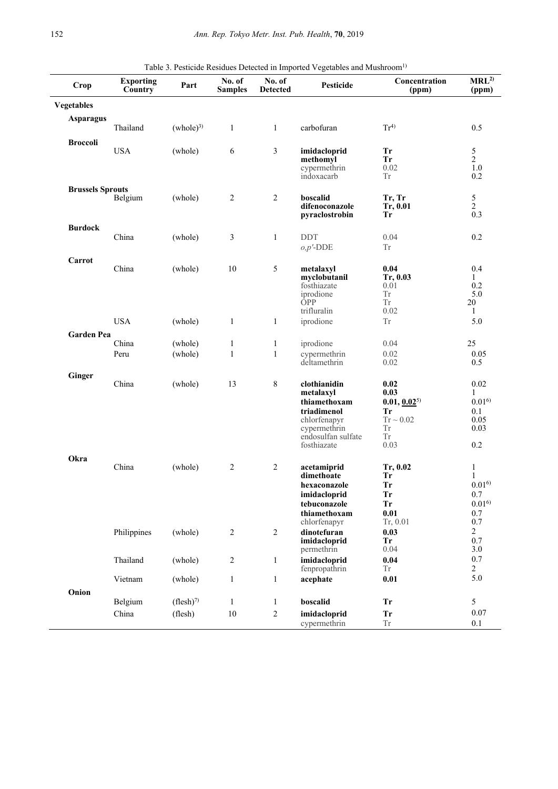| Crop                    | <b>Exporting</b><br>Country | Part                 | No. of<br><b>Samples</b> | No. of<br><b>Detected</b> | Table 3. I esticide residues Detected in imported vegetables and britismooni<br>Pesticide | Concentration<br>(ppm) | MRL <sup>2</sup><br>(ppm) |
|-------------------------|-----------------------------|----------------------|--------------------------|---------------------------|-------------------------------------------------------------------------------------------|------------------------|---------------------------|
| <b>Vegetables</b>       |                             |                      |                          |                           |                                                                                           |                        |                           |
| <b>Asparagus</b>        |                             |                      |                          |                           |                                                                                           |                        |                           |
|                         | Thailand                    | (whole) <sup>3</sup> | $\mathbf{1}$             | $\mathbf{1}$              | carbofuran                                                                                | $Tr^{4)}$              | 0.5                       |
| <b>Broccoli</b>         | <b>USA</b>                  | (whole)              | $\sqrt{6}$               | $\mathfrak{Z}$            | imidacloprid                                                                              | <b>Tr</b>              |                           |
|                         |                             |                      |                          |                           | methomyl                                                                                  | <b>Tr</b>              | $\frac{5}{2}$             |
|                         |                             |                      |                          |                           | cypermethrin                                                                              | 0.02                   | $1.0\,$                   |
|                         |                             |                      |                          |                           | indoxacarb                                                                                | <b>Tr</b>              | 0.2                       |
| <b>Brussels Sprouts</b> |                             |                      | $\sqrt{2}$               | $\overline{2}$            | boscalid                                                                                  | Tr, Tr                 |                           |
|                         | Belgium                     | (whole)              |                          |                           | difenoconazole                                                                            | Tr, 0.01               | $\frac{5}{2}$             |
|                         |                             |                      |                          |                           | pyraclostrobin                                                                            | <b>Tr</b>              | 0.3                       |
| <b>Burdock</b>          |                             |                      |                          |                           |                                                                                           |                        |                           |
|                         | China                       | (whole)              | 3                        | $\mathbf{1}$              | <b>DDT</b>                                                                                | 0.04                   | 0.2                       |
|                         |                             |                      |                          |                           | $o, p'$ -DDE                                                                              | Tr                     |                           |
| Carrot                  |                             |                      |                          |                           |                                                                                           |                        |                           |
|                         | China                       | (whole)              | 10                       | 5                         | metalaxyl<br>myclobutanil                                                                 | 0.04<br>Tr, 0.03       | 0.4<br>1                  |
|                         |                             |                      |                          |                           | fosthiazate                                                                               | 0.01                   | 0.2                       |
|                         |                             |                      |                          |                           | iprodione                                                                                 | <b>Tr</b>              | 5.0                       |
|                         |                             |                      |                          |                           | <b>OPP</b><br>trifluralin                                                                 | Tr                     | 20<br>1                   |
|                         | <b>USA</b>                  | (whole)              | 1                        | $\mathbf{1}$              | iprodione                                                                                 | 0.02<br>Tr             | 5.0                       |
|                         |                             |                      |                          |                           |                                                                                           |                        |                           |
| <b>Garden Pea</b>       | China                       | (whole)              | $\mathbf{1}$             | $\mathbf{1}$              | iprodione                                                                                 | 0.04                   | 25                        |
|                         | Peru                        | (whole)              | $\mathbf{1}$             | $\mathbf{1}$              | cypermethrin                                                                              | 0.02                   | 0.05                      |
|                         |                             |                      |                          |                           | deltamethrin                                                                              | 0.02                   | 0.5                       |
| Ginger                  |                             |                      |                          |                           |                                                                                           |                        |                           |
|                         | China                       | (whole)              | 13                       | 8                         | clothianidin                                                                              | 0.02<br>0.03           | 0.02<br>$\mathbf{1}$      |
|                         |                             |                      |                          |                           | metalaxyl<br>thiamethoxam                                                                 | $0.01, 0.02^{5}$       | 0.01 <sup>6</sup>         |
|                         |                             |                      |                          |                           | triadimenol                                                                               | <b>Tr</b>              | 0.1                       |
|                         |                             |                      |                          |                           | chlorfenapyr                                                                              | $Tr \sim 0.02$         | 0.05                      |
|                         |                             |                      |                          |                           | cypermethrin<br>endosulfan sulfate                                                        | Tr<br><b>Tr</b>        | 0.03                      |
|                         |                             |                      |                          |                           | fosthiazate                                                                               | 0.03                   | 0.2                       |
| Okra                    |                             |                      |                          |                           |                                                                                           |                        |                           |
|                         | China                       | (whole)              | $\overline{2}$           | $\overline{2}$            | acetamiprid                                                                               | Tr, 0.02               | $\mathbf{1}$              |
|                         |                             |                      |                          |                           | dimethoate                                                                                | Tr                     | $\mathbf{1}$              |
|                         |                             |                      |                          |                           | hexaconazole                                                                              | <b>Tr</b>              | $0.01^{6}$                |
|                         |                             |                      |                          |                           | imidacloprid<br>tebuconazole                                                              | <b>Tr</b><br><b>Tr</b> | 0.7<br>$0.01^{6}$         |
|                         |                             |                      |                          |                           | thiamethoxam                                                                              | 0.01                   | 0.7                       |
|                         |                             |                      |                          |                           | chlorfenapyr                                                                              | Tr, 0.01               | 0.7                       |
|                         | Philippines                 | (whole)              | $\sqrt{2}$               | $\boldsymbol{2}$          | dinotefuran                                                                               | 0.03                   | 2                         |
|                         |                             |                      |                          |                           | imidacloprid<br>permethrin                                                                | Tr<br>0.04             | 0.7<br>3.0                |
|                         | Thailand                    | (whole)              | $\overline{c}$           | $\mathbf{1}$              | imidacloprid                                                                              | 0.04                   | 0.7                       |
|                         |                             |                      |                          |                           | fenpropathrin                                                                             | Tr                     | $\overline{c}$            |
|                         | Vietnam                     | (whole)              | $\mathbf{1}$             | $\mathbf{1}$              | acephate                                                                                  | 0.01                   | 5.0                       |
| Onion                   |                             |                      |                          |                           |                                                                                           |                        |                           |
|                         | Belgium                     | $(flesh)^7$          | $\mathbf{1}$             | $\mathbf{1}$              | boscalid                                                                                  | <b>Tr</b>              | $\mathfrak{S}$            |
|                         | China                       | (flesh)              | $10\,$                   | $\overline{c}$            | imidacloprid                                                                              | <b>Tr</b>              | 0.07                      |
|                         |                             |                      |                          |                           | cypermethrin                                                                              | ${\rm Tr}$             | 0.1                       |

Table 3. Pesticide Residues Detected in Imported Vegetables and Mushroom<sup>1)</sup>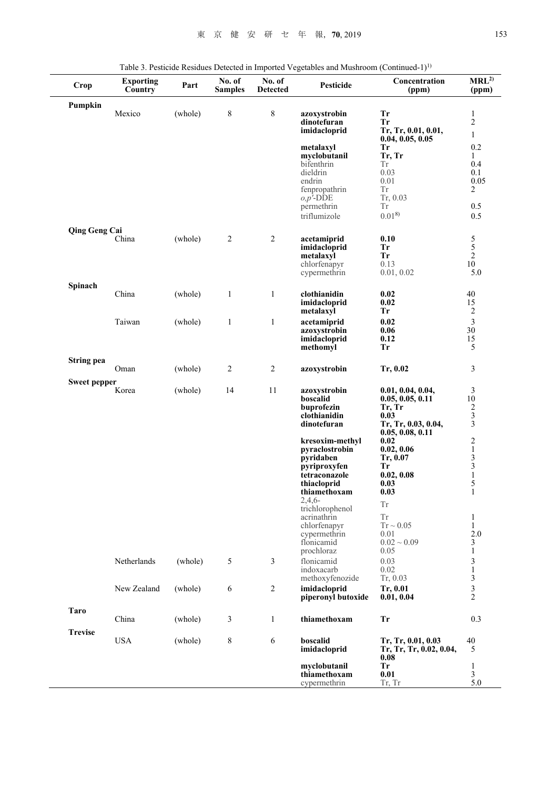| <b>Crop</b>          | <b>Exporting</b><br>Country | Part    | No. of<br><b>Samples</b> | No. of<br><b>Detected</b> | raone 3. I estiente residues Detecteu in importeu vegetables anu musinoom (commuteu i<br><b>Pesticide</b> | Concentration<br>(ppm)          | MRL <sup>2</sup><br>(ppm)                            |
|----------------------|-----------------------------|---------|--------------------------|---------------------------|-----------------------------------------------------------------------------------------------------------|---------------------------------|------------------------------------------------------|
| Pumpkin              |                             |         |                          |                           |                                                                                                           |                                 |                                                      |
|                      | Mexico                      | (whole) | 8                        | $\,$ 8 $\,$               | azoxystrobin<br>dinotefuran                                                                               | Tr<br>Tr                        | $\mathbf{1}$<br>$\sqrt{2}$                           |
|                      |                             |         |                          |                           | imidacloprid                                                                                              | Tr, Tr, 0.01, 0.01,             | $\mathbf{1}$                                         |
|                      |                             |         |                          |                           |                                                                                                           | 0.04, 0.05, 0.05                |                                                      |
|                      |                             |         |                          |                           | metalaxyl<br>myclobutanil                                                                                 | Tr<br>Tr, Tr                    | 0.2<br>1                                             |
|                      |                             |         |                          |                           | bifenthrin                                                                                                | Тr                              | 0.4                                                  |
|                      |                             |         |                          |                           | dieldrin<br>endrin                                                                                        | 0.03<br>0.01                    | 0.1<br>0.05                                          |
|                      |                             |         |                          |                           | fenpropathrin                                                                                             | Tr                              | $\overline{c}$                                       |
|                      |                             |         |                          |                           | $o, p'$ -DDE                                                                                              | Tr, 0.03                        |                                                      |
|                      |                             |         |                          |                           | permethrin<br>triflumizole                                                                                | <b>Tr</b><br>$0.01^{8}$         | 0.5<br>0.5                                           |
| <b>Qing Geng Cai</b> |                             |         |                          |                           |                                                                                                           |                                 |                                                      |
|                      | China                       | (whole) | $\sqrt{2}$               | 2                         | acetamiprid                                                                                               | 0.10                            |                                                      |
|                      |                             |         |                          |                           | imidacloprid                                                                                              | <b>Tr</b>                       | $\begin{array}{c} 5 \\ 5 \\ 2 \end{array}$           |
|                      |                             |         |                          |                           | metalaxyl<br>chlorfenapyr                                                                                 | <b>Tr</b><br>0.13               | $10\,$                                               |
|                      |                             |         |                          |                           | cypermethrin                                                                                              | 0.01, 0.02                      | 5.0                                                  |
| Spinach              |                             |         |                          |                           |                                                                                                           |                                 |                                                      |
|                      | China                       | (whole) | $\mathbf{1}$             | $\mathbf{1}$              | clothianidin<br>imidacloprid                                                                              | 0.02<br>0.02                    | 40<br>15                                             |
|                      |                             |         |                          |                           | metalaxyl                                                                                                 | Tr                              | $\overline{2}$                                       |
|                      | Taiwan                      | (whole) | $\mathbf{1}$             | $\mathbf{1}$              | acetamiprid                                                                                               | 0.02                            | $\overline{\mathbf{3}}$                              |
|                      |                             |         |                          |                           | azoxystrobin                                                                                              | 0.06<br>0.12                    | 30                                                   |
|                      |                             |         |                          |                           | imidacloprid<br>methomyl                                                                                  | <b>Tr</b>                       | 15<br>5                                              |
| <b>String pea</b>    | Oman                        | (whole) | 2                        | $\sqrt{2}$                | azoxystrobin                                                                                              | Tr, 0.02                        | 3                                                    |
|                      |                             |         |                          |                           |                                                                                                           |                                 |                                                      |
| Sweet pepper         | Korea                       | (whole) | 14                       | 11                        | azoxystrobin                                                                                              | 0.01, 0.04, 0.04,               | $\mathfrak{Z}$                                       |
|                      |                             |         |                          |                           | boscalid                                                                                                  | 0.05, 0.05, 0.11                | 10                                                   |
|                      |                             |         |                          |                           | buprofezin<br>clothianidin                                                                                | Tr, Tr<br>0.03                  | $\frac{2}{3}$                                        |
|                      |                             |         |                          |                           | dinotefuran                                                                                               | Tr, Tr, 0.03, 0.04,             | $\overline{3}$                                       |
|                      |                             |         |                          |                           | kresoxim-methyl                                                                                           | 0.05, 0.08, 0.11<br>0.02        |                                                      |
|                      |                             |         |                          |                           | pyraclostrobin                                                                                            | 0.02, 0.06                      |                                                      |
|                      |                             |         |                          |                           | pyridaben                                                                                                 | Tr, 0.07                        |                                                      |
|                      |                             |         |                          |                           | pyriproxyfen<br>tetraconazole                                                                             | Tr<br>0.02, 0.08                | $\begin{array}{c} 2 \\ 1 \\ 3 \\ 3 \\ 1 \end{array}$ |
|                      |                             |         |                          |                           | thiacloprid                                                                                               | 0.03                            | 5                                                    |
|                      |                             |         |                          |                           | thiamethoxam                                                                                              | 0.03                            | $\mathbf{1}$                                         |
|                      |                             |         |                          |                           | $2,4,6-$<br>trichlorophenol                                                                               | <b>Tr</b>                       |                                                      |
|                      |                             |         |                          |                           | acrinathrin                                                                                               | Tr                              | $\mathbf{1}$                                         |
|                      |                             |         |                          |                           | chlorfenapyr<br>cypermethrin                                                                              | $Tr \sim 0.05$<br>0.01          | $\mathbf{1}$<br>$2.0\,$                              |
|                      |                             |         |                          |                           | flonicamid                                                                                                | $0.02 \sim 0.09$                | 3                                                    |
|                      |                             |         |                          |                           | prochloraz                                                                                                | 0.05                            | $\mathbf{1}$                                         |
|                      | Netherlands                 | (whole) | 5                        | 3                         | flonicamid<br>indoxacarb                                                                                  | 0.03<br>0.02                    | 3<br>$\,1$                                           |
|                      |                             |         |                          |                           | methoxyfenozide                                                                                           | Tr, 0.03                        | $\sqrt{3}$                                           |
|                      | New Zealand                 | (whole) | 6                        | 2                         | imidacloprid                                                                                              | Tr, 0.01                        | $\overline{\mathbf{3}}$                              |
|                      |                             |         |                          |                           | piperonyl butoxide                                                                                        | 0.01, 0.04                      | $\overline{c}$                                       |
| Taro                 | China                       | (whole) | 3                        | $\mathbf{1}$              | thiamethoxam                                                                                              | <b>Tr</b>                       | 0.3                                                  |
| <b>Trevise</b>       |                             |         |                          |                           |                                                                                                           |                                 |                                                      |
|                      | <b>USA</b>                  | (whole) | 8                        | 6                         | boscalid                                                                                                  | Tr, Tr, 0.01, 0.03              | 40                                                   |
|                      |                             |         |                          |                           | imidacloprid                                                                                              | Tr, Tr, Tr, 0.02, 0.04,<br>0.08 | 5                                                    |
|                      |                             |         |                          |                           | myclobutanil                                                                                              | <b>Tr</b>                       | $\mathbf{1}$                                         |
|                      |                             |         |                          |                           | thiamethoxam                                                                                              | 0.01                            | 3<br>5.0                                             |
|                      |                             |         |                          |                           | cypermethrin                                                                                              | Tr, Tr                          |                                                      |

Table 3. Pesticide Residues Detected in Imported Vegetables and Mushroom (Continued-1)<sup>1)</sup>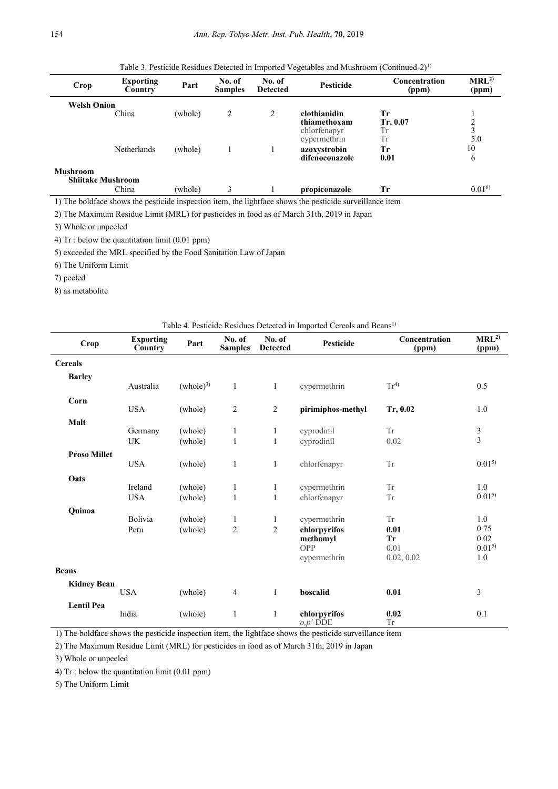Table 3. Pesticide Residues Detected in Imported Vegetables and Mushroom (Continued-2)<sup>1)</sup>

| Crop                                        | <b>Exporting</b><br>Country | Part    | No. of<br><b>Samples</b> | No. of<br><b>Detected</b> | <b>Pesticide</b>                                             | Concentration<br>(ppm)     | MRL <sup>2</sup><br>(ppm) |
|---------------------------------------------|-----------------------------|---------|--------------------------|---------------------------|--------------------------------------------------------------|----------------------------|---------------------------|
| <b>Welsh Onion</b>                          | China                       | (whole) | 2                        | 2                         | clothianidin<br>thiamethoxam<br>chlorfenapyr<br>cypermethrin | Tr<br>Tr, 0.07<br>Tr<br>Тr | 2<br>3<br>5.0             |
|                                             | <b>Netherlands</b>          | (whole) |                          |                           | azoxystrobin<br>difenoconazole                               | Tr<br>0.01                 | 10<br>6                   |
| <b>Mushroom</b><br><b>Shiitake Mushroom</b> |                             |         |                          |                           |                                                              |                            |                           |
|                                             | China                       | (whole) | 3                        |                           | propiconazole                                                | Tr                         | $0.01^{6}$                |

1) The boldface shows the pesticide inspection item, the lightface shows the pesticide surveillance item

2) The Maximum Residue Limit (MRL) for pesticides in food as of March 31th, 2019 in Japan

3) Whole or unpeeled

4) Tr : below the quantitation limit (0.01 ppm)

5) exceeded the MRL specified by the Food Sanitation Law of Japan

6) The Uniform Limit

7) peeled

8) as metabolite

| Table 4. I esticide residues Detected in imported cereals and Deans |                             |                      |                          |                           |                              |                        |                           |
|---------------------------------------------------------------------|-----------------------------|----------------------|--------------------------|---------------------------|------------------------------|------------------------|---------------------------|
| <b>Crop</b>                                                         | <b>Exporting</b><br>Country | Part                 | No. of<br><b>Samples</b> | No. of<br><b>Detected</b> | Pesticide                    | Concentration<br>(ppm) | MRL <sup>2</sup><br>(ppm) |
| <b>Cereals</b>                                                      |                             |                      |                          |                           |                              |                        |                           |
| <b>Barley</b>                                                       |                             |                      |                          |                           |                              |                        |                           |
|                                                                     | Australia                   | (whole) <sup>3</sup> | $\mathbf{1}$             | 1                         | cypermethrin                 | Tr <sup>4</sup>        | 0.5                       |
| Corn                                                                |                             |                      |                          |                           |                              |                        |                           |
|                                                                     | <b>USA</b>                  | (whole)              | $\overline{2}$           | $\overline{2}$            | pirimiphos-methyl            | Tr, 0.02               | 1.0                       |
| Malt                                                                |                             |                      |                          |                           |                              |                        |                           |
|                                                                     | Germany                     | (whole)              | $\mathbf{1}$             | $\mathbf{1}$              | cyprodinil                   | <b>Tr</b>              | $\frac{3}{3}$             |
|                                                                     | UK                          | (whole)              | $\mathbf{1}$             | $\mathbf{1}$              | cyprodinil                   | 0.02                   |                           |
| <b>Proso Millet</b>                                                 |                             |                      |                          |                           |                              |                        |                           |
|                                                                     | <b>USA</b>                  | (whole)              | $\mathbf{1}$             | $\mathbf{1}$              | chlorfenapyr                 | <b>Tr</b>              | $0.01^{5}$                |
| Oats                                                                |                             |                      |                          |                           |                              |                        |                           |
|                                                                     | Ireland                     | (whole)              | $\mathbf{1}$             | $\mathbf{1}$              | cypermethrin                 | <b>Tr</b>              | 1.0                       |
|                                                                     | <b>USA</b>                  | (whole)              | $\mathbf{1}$             | $\mathbf{1}$              | chlorfenapyr                 | Tr                     | $0.01^{5}$                |
| Quinoa                                                              |                             |                      |                          |                           |                              |                        |                           |
|                                                                     | Bolivia                     | (whole)              | 1                        | 1                         | cypermethrin                 | <b>Tr</b>              | 1.0                       |
|                                                                     | Peru                        | (whole)              | $\mathfrak{2}$           | $\overline{2}$            | chlorpyrifos                 | 0.01                   | 0.75                      |
|                                                                     |                             |                      |                          |                           | methomyl                     | <b>Tr</b>              | 0.02                      |
|                                                                     |                             |                      |                          |                           | OPP<br>cypermethrin          | 0.01<br>0.02, 0.02     | $0.01^{5}$<br>1.0         |
|                                                                     |                             |                      |                          |                           |                              |                        |                           |
| <b>Beans</b>                                                        |                             |                      |                          |                           |                              |                        |                           |
| <b>Kidney Bean</b>                                                  |                             |                      |                          |                           |                              |                        |                           |
|                                                                     | <b>USA</b>                  | (whole)              | $\overline{4}$           | $\mathbf{1}$              | boscalid                     | 0.01                   | 3                         |
| <b>Lentil Pea</b>                                                   |                             |                      |                          |                           |                              |                        |                           |
|                                                                     | India                       | (whole)              | $\mathbf{1}$             | 1                         | chlorpyrifos<br>$o, p'$ -DDE | 0.02<br>${\rm Tr}$     | 0.1                       |

Table 4. Pesticide Residues Detected in Imported Cereals and Beans1)

1) The boldface shows the pesticide inspection item, the lightface shows the pesticide surveillance item

2) The Maximum Residue Limit (MRL) for pesticides in food as of March 31th, 2019 in Japan

3) Whole or unpeeled

4) Tr : below the quantitation limit (0.01 ppm)

5) The Uniform Limit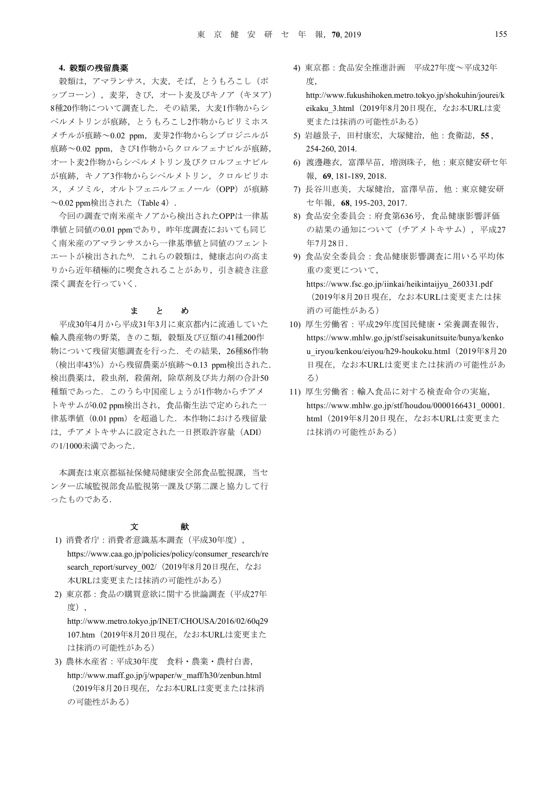#### **4.** 穀類の残留農薬

穀類は,アマランサス,大麦,そば,とうもろこし(ポ ップコーン),麦芽,きび,オート麦及びキノア(キヌア) 8種20作物について調査した.その結果,大麦1作物からシ ペルメトリンが痕跡,とうもろこし2作物からピリミホス メチルが痕跡~0.02 ppm,麦芽2作物からシプロジニルが 痕跡~0.02 ppm,きび1作物からクロルフェナピルが痕跡, オート麦2作物からシペルメトリン及びクロルフェナピル が痕跡,キノア3作物からシペルメトリン,クロルピリホ ス, メソミル, オルトフェニルフェノール (OPP) が痕跡  $\sim$ 0.02 ppm検出された (Table 4).

今回の調査で南米産キノアから検出されたOPPは一律基 準値と同値の0.01 ppmであり、昨年度調査においても同じ く南米産のアマランサスから一律基準値と同値のフェント エートが検出された6. これらの穀類は、健康志向の高ま りから近年積極的に喫食されることがあり,引き続き注意 深く調査を行っていく.

### まとめ

平成30年4月から平成31年3月に東京都内に流通していた 輸入農産物の野菜,きのこ類,穀類及び豆類の41種200作 物について残留実態調査を行った.その結果,26種86作物 (検出率43%)から残留農薬が痕跡~0.13 ppm検出された. 検出農薬は,殺虫剤,殺菌剤,除草剤及び共力剤の合計50 種類であった.このうち中国産しょうが1作物からチアメ トキサムが0.02 ppm検出され、食品衛生法で定められた一 律基準値 (0.01 ppm) を超過した. 本作物における残留量 は,チアメトキサムに設定された一日摂取許容量(ADI) の1/1000未満であった.

本調査は東京都福祉保健局健康安全部食品監視課、当セ ンター広域監視部食品監視第一課及び第二課と協力して行 ったものである.

## 文 献

- 1) 消費者庁:消費者意識基本調査(平成30年度), https://www.caa.go.jp/policies/policy/consumer\_research/re search report/survey 002/ (2019年8月20日現在, なお 本URLは変更または抹消の可能性がある)
- 2) 東京都:食品の購買意欲に関する世論調査(平成27年 度),

http://www.metro.tokyo.jp/INET/CHOUSA/2016/02/60q29 107.htm(2019年8月20日現在,なお本URLは変更また は抹消の可能性がある)

3) 農林水産省:平成30年度 食料・農業・農村白書, http://www.maff.go.jp/j/wpaper/w\_maff/h30/zenbun.html (2019年8月20日現在,なお本URLは変更または抹消 の可能性がある)

4) 東京都:食品安全推進計画 平成27年度~平成32年 度,

http://www.fukushihoken.metro.tokyo.jp/shokuhin/jourei/k eikaku\_3.html(2019年8月20日現在,なお本URLは変 更または抹消の可能性がある)

- 5) 岩越景子,田村康宏,大塚健治,他:食衛誌,**55** , 254-260, 2014.
- 6) 渡邊趣衣,富澤早苗,増渕珠子,他:東京健安研セ年 報,**69**, 181-189, 2018.
- 7) 長谷川恵美,大塚健治,富澤早苗,他:東京健安研 セ年報,**68**, 195-203, 2017.
- 8) 食品安全委員会:府食第636号,食品健康影響評価 の結果の通知について(チアメトキサム),平成27 年7月28日.
- 9) 食品安全委員会:食品健康影響調査に用いる平均体 重の変更について, https://www.fsc.go.jp/iinkai/heikintaijyu\_260331.pdf

(2019年8月20日現在,なお本URLは変更または抹 消の可能性がある)

- 10) 厚生労働省:平成29年度国民健康・栄養調査報告, https://www.mhlw.go.jp/stf/seisakunitsuite/bunya/kenko u iryou/kenkou/eiyou/h29-houkoku.html (2019年8月20 日現在,なお本URLは変更または抹消の可能性があ る)
- 11) 厚生労働省:輸入食品に対する検査命令の実施, https://www.mhlw.go.jp/stf/houdou/0000166431\_00001. html(2019年8月20日現在,なお本URLは変更また は抹消の可能性がある)